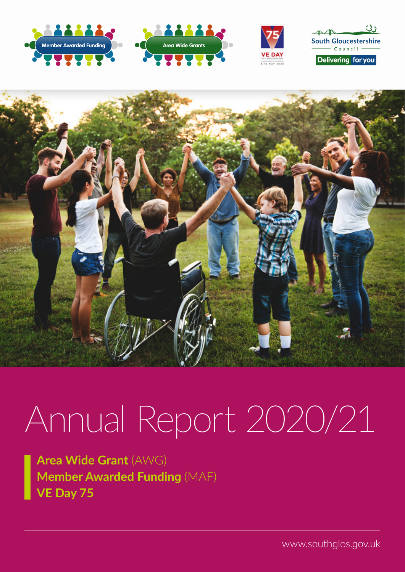





 $33$  $\triangle\triangle$ **South Gloucestershire**  $Conncil$ 

Delivering for you



# Annual Report 2020/21

**Area Wide Grant** (AWG) **Member Awarded Funding** (MAF) **VE Day 75**

www.southglos.gov.uk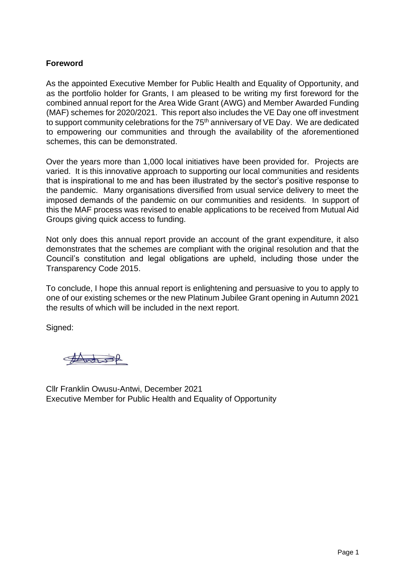### **Foreword**

As the appointed Executive Member for Public Health and Equality of Opportunity, and as the portfolio holder for Grants, I am pleased to be writing my first foreword for the combined annual report for the Area Wide Grant (AWG) and Member Awarded Funding (MAF) schemes for 2020/2021. This report also includes the VE Day one off investment to support community celebrations for the 75<sup>th</sup> anniversary of VE Day. We are dedicated to empowering our communities and through the availability of the aforementioned schemes, this can be demonstrated.

Over the years more than 1,000 local initiatives have been provided for. Projects are varied. It is this innovative approach to supporting our local communities and residents that is inspirational to me and has been illustrated by the sector's positive response to the pandemic. Many organisations diversified from usual service delivery to meet the imposed demands of the pandemic on our communities and residents. In support of this the MAF process was revised to enable applications to be received from Mutual Aid Groups giving quick access to funding.

Not only does this annual report provide an account of the grant expenditure, it also demonstrates that the schemes are compliant with the original resolution and that the Council's constitution and legal obligations are upheld, including those under the Transparency Code 2015.

To conclude, I hope this annual report is enlightening and persuasive to you to apply to one of our existing schemes or the new Platinum Jubilee Grant opening in Autumn 2021 the results of which will be included in the next report.

Signed:

Antist

Cllr Franklin Owusu-Antwi, December 2021 Executive Member for Public Health and Equality of Opportunity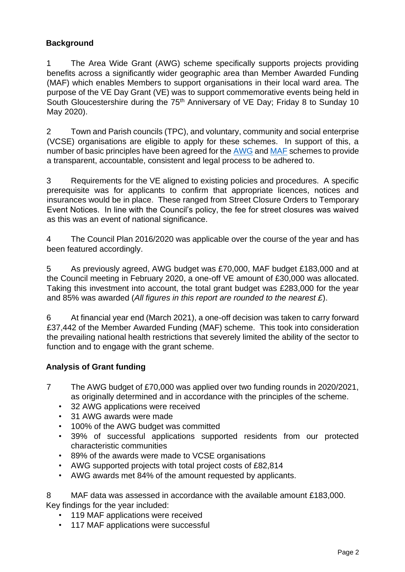# **Background**

1 The Area Wide Grant (AWG) scheme specifically supports projects providing benefits across a significantly wider geographic area than Member Awarded Funding (MAF) which enables Members to support organisations in their local ward area. The purpose of the VE Day Grant (VE) was to support commemorative events being held in South Gloucestershire during the 75<sup>th</sup> Anniversary of VE Day; Friday 8 to Sunday 10 May 2020).

2 Town and Parish councils (TPC), and voluntary, community and social enterprise (VCSE) organisations are eligible to apply for these schemes. In support of this, a number of basic principles have been agreed for the [AWG](https://www.southglos.gov.uk/documents/Principles-for-AWG-1.pdf) [a](https://www.southglos.gov.uk/documents/Principles-for-AWG-1.pdf)nd [MAF](https://www.southglos.gov.uk/documents/Principles-and-Processes-MAF.pdf) schemes to provide a transparent, accountable, consistent and legal process to be adhered to.

3 Requirements for the VE aligned to existing policies and procedures. A specific prerequisite was for applicants to confirm that appropriate licences, notices and insurances would be in place. These ranged from Street Closure Orders to Temporary Event Notices. In line with the Council's policy, the fee for street closures was waived as this was an event of national significance.

4 The Council Plan 2016/2020 was applicable over the course of the year and has been featured accordingly.

5 As previously agreed, AWG budget was £70,000, MAF budget £183,000 and at the Council meeting in February 2020, a one-off VE amount of £30,000 was allocated. Taking this investment into account, the total grant budget was £283,000 for the year and 85% was awarded (*All figures in this report are rounded to the nearest £*).

6 At financial year end (March 2021), a one-off decision was taken to carry forward £37,442 of the Member Awarded Funding (MAF) scheme. This took into consideration the prevailing national health restrictions that severely limited the ability of the sector to function and to engage with the grant scheme.

# **Analysis of Grant funding**

- 7 The AWG budget of £70,000 was applied over two funding rounds in 2020/2021, as originally determined and in accordance with the principles of the scheme.
	- 32 AWG applications were received
	- 31 AWG awards were made
	- 100% of the AWG budget was committed
	- 39% of successful applications supported residents from our protected characteristic communities
	- 89% of the awards were made to VCSE organisations
	- AWG supported projects with total project costs of £82,814
	- AWG awards met 84% of the amount requested by applicants.

8 MAF data was assessed in accordance with the available amount £183,000. Key findings for the year included:

- 119 MAF applications were received
- 117 MAF applications were successful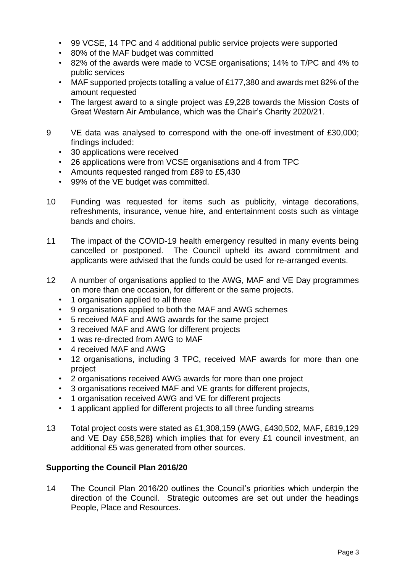- 99 VCSE, 14 TPC and 4 additional public service projects were supported
- 80% of the MAF budget was committed
- 82% of the awards were made to VCSE organisations; 14% to T/PC and 4% to public services
- MAF supported projects totalling a value of £177,380 and awards met 82% of the amount requested
- The largest award to a single project was £9,228 towards the Mission Costs of Great Western Air Ambulance, which was the Chair's Charity 2020/21.
- 9 VE data was analysed to correspond with the one-off investment of £30,000; findings included:
	- 30 applications were received
	- 26 applications were from VCSE organisations and 4 from TPC
	- Amounts requested ranged from £89 to £5,430
	- 99% of the VE budget was committed.
- 10 Funding was requested for items such as publicity, vintage decorations, refreshments, insurance, venue hire, and entertainment costs such as vintage bands and choirs.
- 11 The impact of the COVID-19 health emergency resulted in many events being cancelled or postponed. The Council upheld its award commitment and applicants were advised that the funds could be used for re-arranged events.
- 12 A number of organisations applied to the AWG, MAF and VE Day programmes on more than one occasion, for different or the same projects.
	- 1 organisation applied to all three
	- 9 organisations applied to both the MAF and AWG schemes
	- 5 received MAF and AWG awards for the same project
	- 3 received MAF and AWG for different projects
	- 1 was re-directed from AWG to MAF
	- 4 received MAF and AWG
	- 12 organisations, including 3 TPC, received MAF awards for more than one project
	- 2 organisations received AWG awards for more than one project
	- 3 organisations received MAF and VE grants for different projects,
	- 1 organisation received AWG and VE for different projects
	- 1 applicant applied for different projects to all three funding streams
- 13 Total project costs were stated as £1,308,159 (AWG, £430,502, MAF, £819,129 and VE Day £58,528**)** which implies that for every £1 council investment, an additional £5 was generated from other sources.

### **Supporting the Council Plan 2016/20**

14 The Council Plan 2016/20 outlines the Council's priorities which underpin the direction of the Council. Strategic outcomes are set out under the headings People, Place and Resources.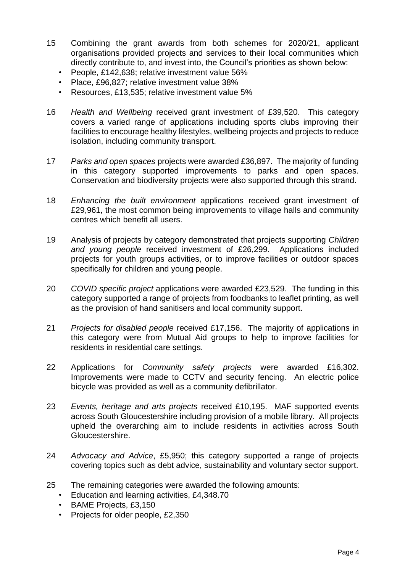- 15 Combining the grant awards from both schemes for 2020/21, applicant organisations provided projects and services to their local communities which directly contribute to, and invest into, the Council's priorities as shown below:
	- People, £142,638; relative investment value 56%
	- Place, £96,827; relative investment value 38%
	- Resources, £13,535; relative investment value 5%
- 16 *Health and Wellbeing* received grant investment of £39,520. This category covers a varied range of applications including sports clubs improving their facilities to encourage healthy lifestyles, wellbeing projects and projects to reduce isolation, including community transport.
- 17 *Parks and open spaces* projects were awarded £36,897. The majority of funding in this category supported improvements to parks and open spaces. Conservation and biodiversity projects were also supported through this strand.
- 18 *Enhancing the built environment* applications received grant investment of £29,961, the most common being improvements to village halls and community centres which benefit all users.
- 19 Analysis of projects by category demonstrated that projects supporting *Children and young people* received investment of £26,299. Applications included projects for youth groups activities, or to improve facilities or outdoor spaces specifically for children and young people.
- 20 *COVID specific project* applications were awarded £23,529. The funding in this category supported a range of projects from foodbanks to leaflet printing, as well as the provision of hand sanitisers and local community support.
- 21 *Projects for disabled people* received £17,156. The majority of applications in this category were from Mutual Aid groups to help to improve facilities for residents in residential care settings.
- 22 Applications for *Community safety projects* were awarded £16,302. Improvements were made to CCTV and security fencing. An electric police bicycle was provided as well as a community defibrillator.
- 23 *Events, heritage and arts projects* received £10,195. MAF supported events across South Gloucestershire including provision of a mobile library. All projects upheld the overarching aim to include residents in activities across South Gloucestershire.
- 24 *Advocacy and Advice*, £5,950; this category supported a range of projects covering topics such as debt advice, sustainability and voluntary sector support.
- 25 The remaining categories were awarded the following amounts:
	- Education and learning activities, £4,348.70
	- BAME Projects, £3,150
	- Projects for older people, £2,350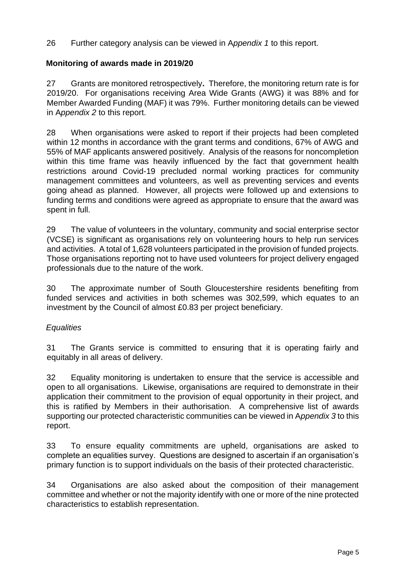26 Further category analysis can be viewed in A*ppendix 1* to this report.

# **Monitoring of awards made in 2019/20**

27 Grants are monitored retrospectively**.** Therefore, the monitoring return rate is for 2019/20. For organisations receiving Area Wide Grants (AWG) it was 88% and for Member Awarded Funding (MAF) it was 79%. Further monitoring details can be viewed in A*ppendix 2* to this report.

28 When organisations were asked to report if their projects had been completed within 12 months in accordance with the grant terms and conditions, 67% of AWG and 55% of MAF applicants answered positively. Analysis of the reasons for noncompletion within this time frame was heavily influenced by the fact that government health restrictions around Covid-19 precluded normal working practices for community management committees and volunteers, as well as preventing services and events going ahead as planned. However, all projects were followed up and extensions to funding terms and conditions were agreed as appropriate to ensure that the award was spent in full.

29 The value of volunteers in the voluntary, community and social enterprise sector (VCSE) is significant as organisations rely on volunteering hours to help run services and activities. A total of 1,628 volunteers participated in the provision of funded projects. Those organisations reporting not to have used volunteers for project delivery engaged professionals due to the nature of the work.

30 The approximate number of South Gloucestershire residents benefiting from funded services and activities in both schemes was 302,599, which equates to an investment by the Council of almost £0.83 per project beneficiary.

# *Equalities*

31 The Grants service is committed to ensuring that it is operating fairly and equitably in all areas of delivery.

32 Equality monitoring is undertaken to ensure that the service is accessible and open to all organisations. Likewise, organisations are required to demonstrate in their application their commitment to the provision of equal opportunity in their project, and this is ratified by Members in their authorisation. A comprehensive list of awards supporting our protected characteristic communities can be viewed in A*ppendix 3* to this report.

33 To ensure equality commitments are upheld, organisations are asked to complete an equalities survey. Questions are designed to ascertain if an organisation's primary function is to support individuals on the basis of their protected characteristic.

34 Organisations are also asked about the composition of their management committee and whether or not the majority identify with one or more of the nine protected characteristics to establish representation.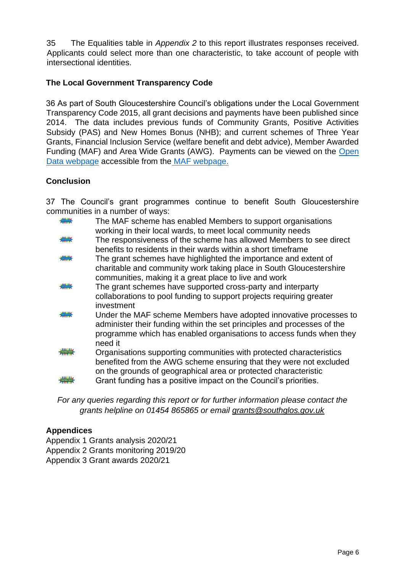35 The Equalities table in *Appendix 2* to this report illustrates responses received. Applicants could select more than one characteristic, to take account of people with intersectional identities.

# **The Local Government Transparency Code**

36 As part of South Gloucestershire Council's obligations under the Local Government Transparency Code 2015, all grant decisions and payments have been published since 2014. The data includes previous funds of Community Grants, Positive Activities Subsidy (PAS) and New Homes Bonus (NHB); and current schemes of Three Year Grants, Financial Inclusion Service (welfare benefit and debt advice), Member Awarded Funding (MAF) and Area Wide Grants (AWG). Payments can be viewed on the [Open](http://www.southglos.gov.uk/council-and-democracy/news-and-information-releases/open-data/)  [Data webpage](http://www.southglos.gov.uk/council-and-democracy/news-and-information-releases/open-data/) accessible from th[e](http://www.southglos.gov.uk/maf) [MAF webpage.](http://www.southglos.gov.uk/maf)

# **Conclusion**

37 The Council's grant programmes continue to benefit South Gloucestershire communities in a number of ways:

|   | The MAF scheme has enabled Members to support organisations<br>working in their local wards, to meet local community needs                                                                                                     |
|---|--------------------------------------------------------------------------------------------------------------------------------------------------------------------------------------------------------------------------------|
| ₩ | The responsiveness of the scheme has allowed Members to see direct<br>benefits to residents in their wards within a short timeframe                                                                                            |
| ₩ | The grant schemes have highlighted the importance and extent of<br>charitable and community work taking place in South Gloucestershire<br>communities, making it a great place to live and work                                |
|   | The grant schemes have supported cross-party and interparty<br>collaborations to pool funding to support projects requiring greater<br>investment                                                                              |
|   | Under the MAF scheme Members have adopted innovative processes to<br>administer their funding within the set principles and processes of the<br>programme which has enabled organisations to access funds when they<br>need it |
|   | Organisations supporting communities with protected characteristics<br>benefited from the AWG scheme ensuring that they were not excluded<br>on the grounds of geographical area or protected characteristic                   |
|   | Grant funding has a positive impact on the Council's priorities.                                                                                                                                                               |

*For any queries regarding this report or for further information please contact the grants helpline on 01454 865865 or email grants@southglos.gov.uk*

# **Appendices**

Appendix 1 Grants analysis 2020/21 Appendix 2 Grants monitoring 2019/20 Appendix 3 Grant awards 2020/21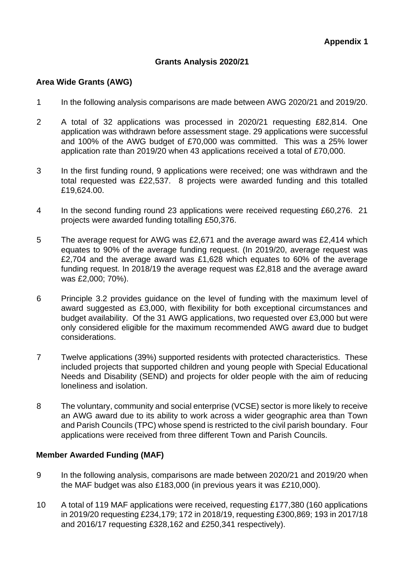# **Grants Analysis 2020/21**

### **Area Wide Grants (AWG)**

- 1 In the following analysis comparisons are made between AWG 2020/21 and 2019/20.
- 2 A total of 32 applications was processed in 2020/21 requesting £82,814. One application was withdrawn before assessment stage. 29 applications were successful and 100% of the AWG budget of £70,000 was committed. This was a 25% lower application rate than 2019/20 when 43 applications received a total of £70,000.
- 3 In the first funding round, 9 applications were received; one was withdrawn and the total requested was £22,537. 8 projects were awarded funding and this totalled £19,624.00.
- 4 In the second funding round 23 applications were received requesting £60,276. 21 projects were awarded funding totalling £50,376.
- 5 The average request for AWG was £2,671 and the average award was £2,414 which equates to 90% of the average funding request. (In 2019/20, average request was £2,704 and the average award was £1,628 which equates to 60% of the average funding request. In 2018/19 the average request was £2,818 and the average award was £2,000; 70%).
- 6 Principle 3.2 provides guidance on the level of funding with the maximum level of award suggested as £3,000, with flexibility for both exceptional circumstances and budget availability. Of the 31 AWG applications, two requested over £3,000 but were only considered eligible for the maximum recommended AWG award due to budget considerations.
- 7 Twelve applications (39%) supported residents with protected characteristics. These included projects that supported children and young people with Special Educational Needs and Disability (SEND) and projects for older people with the aim of reducing loneliness and isolation.
- 8 The voluntary, community and social enterprise (VCSE) sector is more likely to receive an AWG award due to its ability to work across a wider geographic area than Town and Parish Councils (TPC) whose spend is restricted to the civil parish boundary. Four applications were received from three different Town and Parish Councils.

### **Member Awarded Funding (MAF)**

- 9 In the following analysis, comparisons are made between 2020/21 and 2019/20 when the MAF budget was also £183,000 (in previous years it was £210,000).
- 10 A total of 119 MAF applications were received, requesting £177,380 (160 applications in 2019/20 requesting £234,179; 172 in 2018/19, requesting £300,869; 193 in 2017/18 and 2016/17 requesting £328,162 and £250,341 respectively).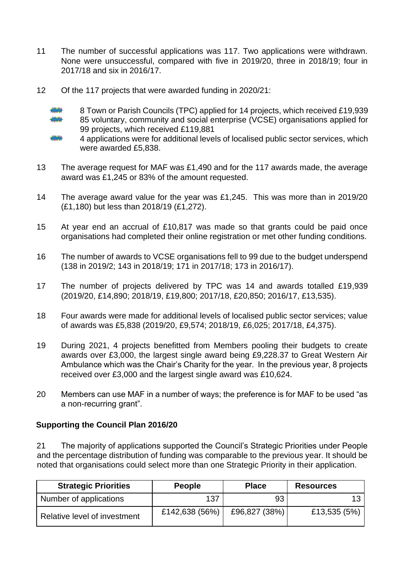- 11 The number of successful applications was 117. Two applications were withdrawn. None were unsuccessful, compared with five in 2019/20, three in 2018/19; four in 2017/18 and six in 2016/17.
- 12 Of the 117 projects that were awarded funding in 2020/21:
	- 8 Town or Parish Councils (TPC) applied for 14 projects, which received £19,939 85 voluntary, community and social enterprise (VCSE) organisations applied for 99 projects, which received £119,881
	-

4 applications were for additional levels of localised public sector services, which were awarded £5,838.

- 13 The average request for MAF was £1,490 and for the 117 awards made, the average award was £1,245 or 83% of the amount requested.
- 14 The average award value for the year was £1,245. This was more than in 2019/20 (£1,180) but less than 2018/19 (£1,272).
- 15 At year end an accrual of £10,817 was made so that grants could be paid once organisations had completed their online registration or met other funding conditions.
- 16 The number of awards to VCSE organisations fell to 99 due to the budget underspend (138 in 2019/2; 143 in 2018/19; 171 in 2017/18; 173 in 2016/17).
- 17 The number of projects delivered by TPC was 14 and awards totalled £19,939 (2019/20, £14,890; 2018/19, £19,800; 2017/18, £20,850; 2016/17, £13,535).
- 18 Four awards were made for additional levels of localised public sector services; value of awards was £5,838 (2019/20, £9,574; 2018/19, £6,025; 2017/18, £4,375).
- 19 During 2021, 4 projects benefitted from Members pooling their budgets to create awards over £3,000, the largest single award being £9,228.37 to Great Western Air Ambulance which was the Chair's Charity for the year. In the previous year, 8 projects received over £3,000 and the largest single award was £10,624.
- 20 Members can use MAF in a number of ways; the preference is for MAF to be used "as a non-recurring grant".

# **Supporting the Council Plan 2016/20**

21 The majority of applications supported the Council's Strategic Priorities under People and the percentage distribution of funding was comparable to the previous year. It should be noted that organisations could select more than one Strategic Priority in their application.

| <b>Strategic Priorities</b>  | <b>People</b>  | <b>Place</b>  | <b>Resources</b> |
|------------------------------|----------------|---------------|------------------|
| Number of applications       | 137            | 93            | 1 २              |
| Relative level of investment | £142,638 (56%) | £96,827 (38%) | £13,535 (5%)     |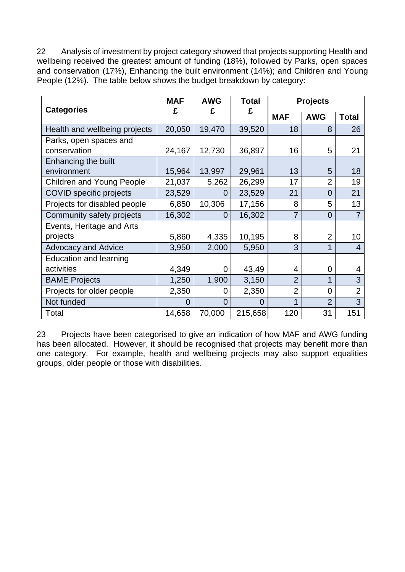22 Analysis of investment by project category showed that projects supporting Health and wellbeing received the greatest amount of funding (18%), followed by Parks, open spaces and conservation (17%), Enhancing the built environment (14%); and Children and Young People (12%). The table below shows the budget breakdown by category:

| <b>Categories</b>                | <b>MAF</b> | <b>AWG</b>     | <b>Total</b> |                | <b>Projects</b> |                |
|----------------------------------|------------|----------------|--------------|----------------|-----------------|----------------|
|                                  | £          | £              | £            | <b>MAF</b>     | <b>AWG</b>      | <b>Total</b>   |
| Health and wellbeing projects    | 20,050     | 19,470         | 39,520       | 18             | 8               | 26             |
| Parks, open spaces and           |            |                |              |                |                 |                |
| conservation                     | 24,167     | 12,730         | 36,897       | 16             | 5               | 21             |
| Enhancing the built              |            |                |              |                |                 |                |
| environment                      | 15,964     | 13,997         | 29,961       | 13             | 5               | 18             |
| <b>Children and Young People</b> | 21,037     | 5,262          | 26,299       | 17             | $\overline{2}$  | 19             |
| COVID specific projects          | 23,529     | 0              | 23,529       | 21             | $\overline{0}$  | 21             |
| Projects for disabled people     | 6,850      | 10,306         | 17,156       | 8              | 5               | 13             |
| Community safety projects        | 16,302     | 0              | 16,302       | $\overline{7}$ | $\overline{0}$  | 7              |
| Events, Heritage and Arts        |            |                |              |                |                 |                |
| projects                         | 5,860      | 4,335          | 10,195       | 8              | $\overline{2}$  | 10             |
| <b>Advocacy and Advice</b>       | 3,950      | 2,000          | 5,950        | 3              | 1               | $\overline{4}$ |
| <b>Education and learning</b>    |            |                |              |                |                 |                |
| activities                       | 4,349      | 0              | 43,49        | 4              | 0               | 4              |
| <b>BAME Projects</b>             | 1,250      | 1,900          | 3,150        | $\overline{2}$ | 1               | 3              |
| Projects for older people        | 2,350      | 0              | 2,350        | $\overline{2}$ | $\overline{0}$  | $\overline{2}$ |
| Not funded                       | $\Omega$   | $\overline{0}$ | $\Omega$     | 1              | $\overline{2}$  | 3              |
| Total                            | 14,658     | 70,000         | 215,658      | 120            | 31              | 151            |

23 Projects have been categorised to give an indication of how MAF and AWG funding has been allocated. However, it should be recognised that projects may benefit more than one category. For example, health and wellbeing projects may also support equalities groups, older people or those with disabilities.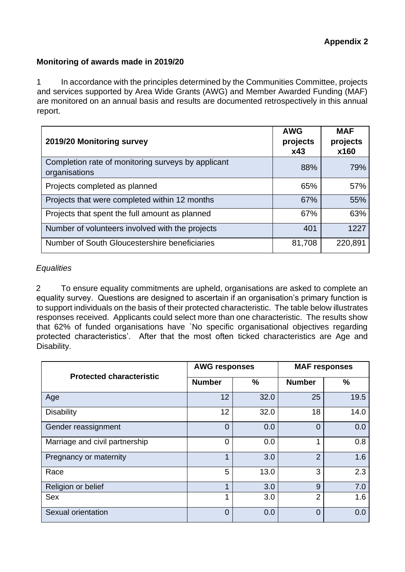### **Monitoring of awards made in 2019/20**

1 In accordance with the principles determined by the Communities Committee, projects and services supported by Area Wide Grants (AWG) and Member Awarded Funding (MAF) are monitored on an annual basis and results are documented retrospectively in this annual report.

| 2019/20 Monitoring survey                                           | <b>AWG</b><br>projects<br>x43 | <b>MAF</b><br>projects<br>x160 |
|---------------------------------------------------------------------|-------------------------------|--------------------------------|
| Completion rate of monitoring surveys by applicant<br>organisations | 88%                           | 79%                            |
| Projects completed as planned                                       | 65%                           | 57%                            |
| Projects that were completed within 12 months                       | 67%                           | 55%                            |
| Projects that spent the full amount as planned                      | 67%                           | 63%                            |
| Number of volunteers involved with the projects                     | 401                           | 1227                           |
| Number of South Gloucestershire beneficiaries                       | 81,708                        | 220,891                        |

### *Equalities*

2 To ensure equality commitments are upheld, organisations are asked to complete an equality survey. Questions are designed to ascertain if an organisation's primary function is to support individuals on the basis of their protected characteristic. The table below illustrates responses received. Applicants could select more than one characteristic. The results show that 62% of funded organisations have `No specific organisational objectives regarding protected characteristics'. After that the most often ticked characteristics are Age and Disability.

|                                 | <b>AWG responses</b> |               | <b>MAF responses</b> |               |  |
|---------------------------------|----------------------|---------------|----------------------|---------------|--|
| <b>Protected characteristic</b> | <b>Number</b>        | $\frac{0}{0}$ | <b>Number</b>        | $\frac{0}{0}$ |  |
| Age                             | 12                   | 32.0          | 25                   | 19.5          |  |
| <b>Disability</b>               | 12                   | 32.0          | 18                   | 14.0          |  |
| Gender reassignment             | $\overline{0}$       | 0.0           | $\Omega$             | 0.0           |  |
| Marriage and civil partnership  | $\overline{0}$       | 0.0           |                      | 0.8           |  |
| Pregnancy or maternity          | 1                    | 3.0           | $\overline{2}$       | 1.6           |  |
| Race                            | 5                    | 13.0          | 3                    | 2.3           |  |
| Religion or belief              | 1                    | 3.0           | 9                    | 7.0           |  |
| <b>Sex</b>                      | 1                    | 3.0           | $\overline{2}$       | 1.6           |  |
| Sexual orientation              | $\overline{0}$       | 0.0           | $\Omega$             | 0.0           |  |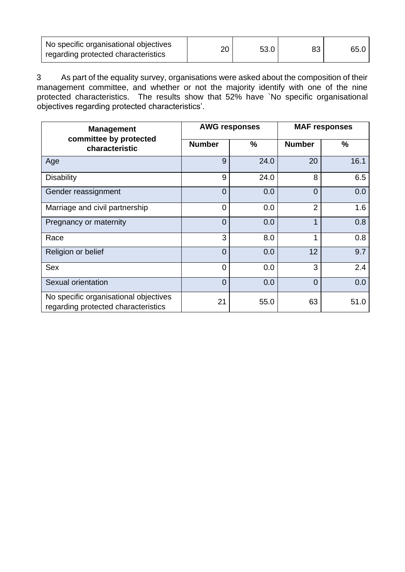| No specific organisational objectives<br>regarding protected characteristics | 20 | 53.0 | 83 | 65.0 |
|------------------------------------------------------------------------------|----|------|----|------|
|                                                                              |    |      |    |      |

3 As part of the equality survey, organisations were asked about the composition of their management committee, and whether or not the majority identify with one of the nine protected characteristics. The results show that 52% have `No specific organisational objectives regarding protected characteristics'.

| <b>Management</b>                                                            |                | <b>AWG responses</b> |                | <b>MAF responses</b> |
|------------------------------------------------------------------------------|----------------|----------------------|----------------|----------------------|
| committee by protected<br>characteristic                                     | <b>Number</b>  | $\frac{0}{0}$        | <b>Number</b>  | $\%$                 |
| Age                                                                          | 9              | 24.0                 | 20             | 16.1                 |
| <b>Disability</b>                                                            | 9              | 24.0                 | 8              | 6.5                  |
| Gender reassignment                                                          | $\overline{0}$ | 0.0                  | $\overline{0}$ | 0.0                  |
| Marriage and civil partnership                                               | $\overline{0}$ | 0.0                  | $\overline{2}$ | 1.6                  |
| Pregnancy or maternity                                                       | $\overline{0}$ | 0.0                  | 1              | 0.8                  |
| Race                                                                         | 3              | 8.0                  | 1              | 0.8                  |
| Religion or belief                                                           | $\overline{0}$ | 0.0                  | 12             | 9.7                  |
| <b>Sex</b>                                                                   | $\overline{0}$ | 0.0                  | 3              | 2.4                  |
| Sexual orientation                                                           | $\Omega$       | 0.0                  | $\overline{0}$ | 0.0                  |
| No specific organisational objectives<br>regarding protected characteristics | 21             | 55.0                 | 63             | 51.0                 |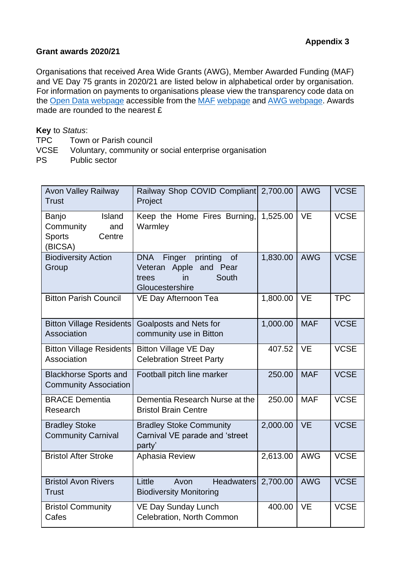### **Grant awards 2020/21**

Organisations that received Area Wide Grants (AWG), Member Awarded Funding (MAF) and VE Day 75 grants in 2020/21 are listed below in alphabetical order by organisation*.* For information on payments to organisations please view the transparency code data on the [Open Data webpage](http://www.southglos.gov.uk/council-and-democracy/news-and-information-releases/open-data/) accessible from the [MAF](https://www.southglos.gov.uk/community-and-living/grants/community-grants/member-awarded-funding/) [webpage](https://www.southglos.gov.uk/community-and-living/grants/community-grants/member-awarded-funding/) and [AWG webpage.](https://www.southglos.gov.uk/community-and-living/grants/community-grants/draft-area-wide-grants/) Awards made are rounded to the nearest £

**Key** to *Status*:

- TPC Town or Parish council
- VCSE Voluntary, community or social enterprise organisation
- PS Public sector

| <b>Avon Valley Railway</b><br><b>Trust</b>                                | Railway Shop COVID Compliant 2,700.00<br>Project                                                               |          | <b>AWG</b> | <b>VCSE</b> |
|---------------------------------------------------------------------------|----------------------------------------------------------------------------------------------------------------|----------|------------|-------------|
| Island<br>Banjo<br>Community<br>and<br><b>Sports</b><br>Centre<br>(BICSA) | Keep the Home Fires Burning,<br>Warmley                                                                        | 1,525.00 | <b>VE</b>  | <b>VCSE</b> |
| <b>Biodiversity Action</b><br>Group                                       | <b>DNA</b><br>Finger<br>printing<br>of<br>Apple and Pear<br>Veteran<br>South<br>trees<br>in<br>Gloucestershire | 1,830.00 | <b>AWG</b> | <b>VCSE</b> |
| <b>Bitton Parish Council</b>                                              | VE Day Afternoon Tea                                                                                           | 1,800.00 | <b>VE</b>  | <b>TPC</b>  |
| <b>Bitton Village Residents</b><br>Association                            | Goalposts and Nets for<br>community use in Bitton                                                              | 1,000.00 | <b>MAF</b> | <b>VCSE</b> |
| <b>Bitton Village Residents</b><br>Association                            | <b>Bitton Village VE Day</b><br><b>Celebration Street Party</b>                                                | 407.52   | <b>VE</b>  | <b>VCSE</b> |
| <b>Blackhorse Sports and</b><br><b>Community Association</b>              | Football pitch line marker                                                                                     | 250.00   | <b>MAF</b> | <b>VCSE</b> |
| <b>BRACE Dementia</b><br>Research                                         | Dementia Research Nurse at the<br><b>Bristol Brain Centre</b>                                                  | 250.00   | <b>MAF</b> | <b>VCSE</b> |
| <b>Bradley Stoke</b><br><b>Community Carnival</b>                         | <b>Bradley Stoke Community</b><br>Carnival VE parade and 'street<br>party'                                     | 2,000.00 | <b>VE</b>  | <b>VCSE</b> |
| <b>Bristol After Stroke</b>                                               | Aphasia Review                                                                                                 | 2,613.00 | <b>AWG</b> | <b>VCSE</b> |
| <b>Bristol Avon Rivers</b><br><b>Trust</b>                                | Little<br><b>Headwaters</b><br>Avon<br><b>Biodiversity Monitoring</b>                                          | 2,700.00 | <b>AWG</b> | <b>VCSE</b> |
| <b>Bristol Community</b><br>Cafes                                         | <b>VE Day Sunday Lunch</b><br>Celebration, North Common                                                        | 400.00   | <b>VE</b>  | <b>VCSE</b> |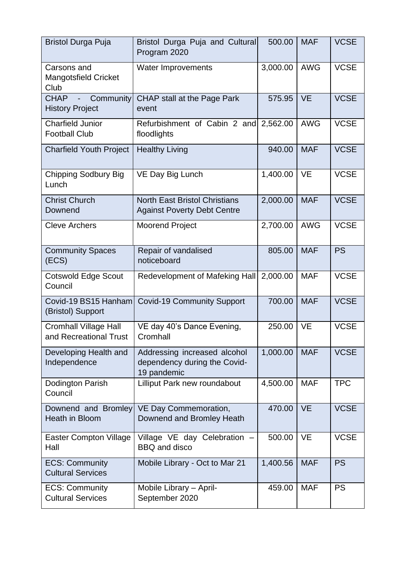| <b>Bristol Durga Puja</b>                              | Bristol Durga Puja and Cultural<br>Program 2020                             | 500.00   | <b>MAF</b> | <b>VCSE</b> |
|--------------------------------------------------------|-----------------------------------------------------------------------------|----------|------------|-------------|
| Carsons and<br><b>Mangotsfield Cricket</b><br>Club     | Water Improvements                                                          | 3,000.00 | <b>AWG</b> | <b>VCSE</b> |
| - Community<br><b>CHAP</b><br><b>History Project</b>   | CHAP stall at the Page Park<br>event                                        | 575.95   | <b>VE</b>  | <b>VCSE</b> |
| <b>Charfield Junior</b><br><b>Football Club</b>        | Refurbishment of Cabin 2 and 2,562.00<br>floodlights                        |          | <b>AWG</b> | <b>VCSE</b> |
| <b>Charfield Youth Project</b>                         | <b>Healthy Living</b>                                                       | 940.00   | <b>MAF</b> | <b>VCSE</b> |
| <b>Chipping Sodbury Big</b><br>Lunch                   | VE Day Big Lunch                                                            | 1,400.00 | <b>VE</b>  | <b>VCSE</b> |
| <b>Christ Church</b><br>Downend                        | <b>North East Bristol Christians</b><br><b>Against Poverty Debt Centre</b>  | 2,000.00 | <b>MAF</b> | <b>VCSE</b> |
| <b>Cleve Archers</b>                                   | <b>Moorend Project</b>                                                      | 2,700.00 | <b>AWG</b> | <b>VCSE</b> |
| <b>Community Spaces</b><br>(ECS)                       | Repair of vandalised<br>noticeboard                                         | 805.00   | <b>MAF</b> | <b>PS</b>   |
| <b>Cotswold Edge Scout</b><br>Council                  | Redevelopment of Mafeking Hall                                              | 2,000.00 | <b>MAF</b> | <b>VCSE</b> |
| Covid-19 BS15 Hanham<br>(Bristol) Support              | <b>Covid-19 Community Support</b>                                           | 700.00   | <b>MAF</b> | <b>VCSE</b> |
| <b>Cromhall Village Hall</b><br>and Recreational Trust | VE day 40's Dance Evening,<br>Cromhall                                      | 250.00   | <b>VE</b>  | <b>VCSE</b> |
| Developing Health and<br>Independence                  | Addressing increased alcohol<br>dependency during the Covid-<br>19 pandemic | 1,000.00 | <b>MAF</b> | <b>VCSE</b> |
| <b>Dodington Parish</b><br>Council                     | Lilliput Park new roundabout                                                | 4,500.00 | <b>MAF</b> | <b>TPC</b>  |
| Downend and Bromley<br>Heath in Bloom                  | VE Day Commemoration,<br>Downend and Bromley Heath                          | 470.00   | <b>VE</b>  | <b>VCSE</b> |
| <b>Easter Compton Village</b><br>Hall                  | Village VE day Celebration<br><b>BBQ</b> and disco                          | 500.00   | <b>VE</b>  | <b>VCSE</b> |
| <b>ECS: Community</b><br><b>Cultural Services</b>      | Mobile Library - Oct to Mar 21                                              | 1,400.56 | <b>MAF</b> | <b>PS</b>   |
| <b>ECS: Community</b><br><b>Cultural Services</b>      | Mobile Library - April-<br>September 2020                                   | 459.00   | <b>MAF</b> | <b>PS</b>   |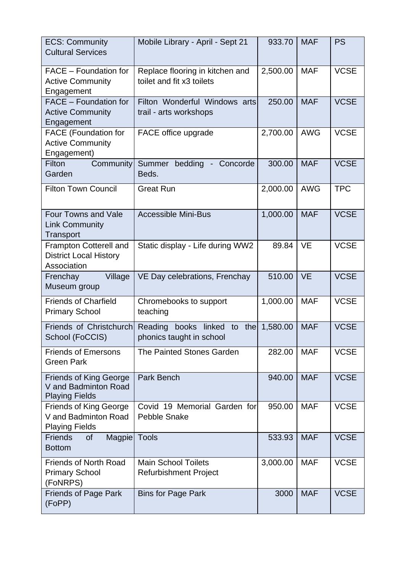| <b>ECS: Community</b><br><b>Cultural Services</b>                              | Mobile Library - April - Sept 21                                     | 933.70   | <b>MAF</b> | <b>PS</b>   |
|--------------------------------------------------------------------------------|----------------------------------------------------------------------|----------|------------|-------------|
| FACE - Foundation for<br><b>Active Community</b><br>Engagement                 | Replace flooring in kitchen and<br>toilet and fit x3 toilets         | 2,500.00 | <b>MAF</b> | <b>VCSE</b> |
| FACE - Foundation for<br><b>Active Community</b><br>Engagement                 | Filton Wonderful Windows arts<br>trail - arts workshops              | 250.00   | <b>MAF</b> | <b>VCSE</b> |
| <b>FACE</b> (Foundation for<br><b>Active Community</b><br>Engagement)          | FACE office upgrade                                                  | 2,700.00 | <b>AWG</b> | <b>VCSE</b> |
| Filton<br>Community<br>Garden                                                  | Summer bedding - Concorde<br>Beds.                                   | 300.00   | <b>MAF</b> | <b>VCSE</b> |
| <b>Filton Town Council</b>                                                     | <b>Great Run</b>                                                     | 2,000.00 | <b>AWG</b> | <b>TPC</b>  |
| <b>Four Towns and Vale</b><br><b>Link Community</b><br>Transport               | <b>Accessible Mini-Bus</b>                                           | 1,000.00 | <b>MAF</b> | <b>VCSE</b> |
| Frampton Cotterell and<br><b>District Local History</b><br>Association         | Static display - Life during WW2                                     | 89.84    | <b>VE</b>  | <b>VCSE</b> |
| Village<br>Frenchay<br>Museum group                                            | VE Day celebrations, Frenchay                                        | 510.00   | <b>VE</b>  | <b>VCSE</b> |
| <b>Friends of Charfield</b><br><b>Primary School</b>                           | Chromebooks to support<br>teaching                                   | 1,000.00 | <b>MAF</b> | <b>VCSE</b> |
| Friends of Christchurch<br>School (FoCCIS)                                     | Reading<br>books<br>linked<br>thel<br>to<br>phonics taught in school | 1,580.00 | <b>MAF</b> | <b>VCSE</b> |
| <b>Friends of Emersons</b><br><b>Green Park</b>                                | The Painted Stones Garden                                            | 282.00   | <b>MAF</b> | <b>VCSE</b> |
| <b>Friends of King George</b><br>V and Badminton Road<br><b>Playing Fields</b> | Park Bench                                                           | 940.00   | <b>MAF</b> | <b>VCSE</b> |
| <b>Friends of King George</b><br>V and Badminton Road<br><b>Playing Fields</b> | Covid 19 Memorial Garden for<br><b>Pebble Snake</b>                  | 950.00   | <b>MAF</b> | <b>VCSE</b> |
| of<br>Magpie Tools<br><b>Friends</b><br><b>Bottom</b>                          |                                                                      | 533.93   | <b>MAF</b> | <b>VCSE</b> |
| <b>Friends of North Road</b><br><b>Primary School</b><br>(FoNRPS)              | <b>Main School Toilets</b><br><b>Refurbishment Project</b>           | 3,000.00 | <b>MAF</b> | <b>VCSE</b> |
| <b>Friends of Page Park</b><br>(FoPP)                                          | <b>Bins for Page Park</b>                                            | 3000     | <b>MAF</b> | <b>VCSE</b> |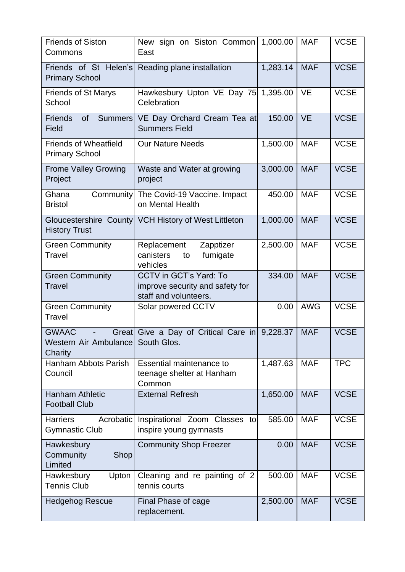| <b>Friends of Siston</b><br>Commons                        | New sign on Siston Common<br>East                                                         | 1,000.00 | <b>MAF</b> | <b>VCSE</b> |
|------------------------------------------------------------|-------------------------------------------------------------------------------------------|----------|------------|-------------|
| Friends of St Helen's<br><b>Primary School</b>             | Reading plane installation                                                                | 1,283.14 | <b>MAF</b> | <b>VCSE</b> |
| <b>Friends of St Marys</b><br>School                       | Hawkesbury Upton VE Day 75<br>Celebration                                                 | 1,395.00 | <b>VE</b>  | <b>VCSE</b> |
| <b>Friends</b><br><b>of</b><br><b>Summers</b><br>Field     | VE Day Orchard Cream Tea at<br><b>Summers Field</b>                                       | 150.00   | <b>VE</b>  | <b>VCSE</b> |
| <b>Friends of Wheatfield</b><br><b>Primary School</b>      | <b>Our Nature Needs</b>                                                                   | 1,500.00 | <b>MAF</b> | <b>VCSE</b> |
| <b>Frome Valley Growing</b><br>Project                     | Waste and Water at growing<br>project                                                     | 3,000.00 | <b>MAF</b> | <b>VCSE</b> |
| Community<br>Ghana<br><b>Bristol</b>                       | The Covid-19 Vaccine. Impact<br>on Mental Health                                          | 450.00   | <b>MAF</b> | <b>VCSE</b> |
| <b>History Trust</b>                                       | Gloucestershire County VCH History of West Littleton                                      | 1,000.00 | <b>MAF</b> | <b>VCSE</b> |
| <b>Green Community</b><br>Travel                           | Replacement<br>Zapptizer<br>canisters<br>fumigate<br>to<br>vehicles                       | 2,500.00 | <b>MAF</b> | <b>VCSE</b> |
| <b>Green Community</b><br><b>Travel</b>                    | <b>CCTV in GCT's Yard: To</b><br>improve security and safety for<br>staff and volunteers. | 334.00   | <b>MAF</b> | <b>VCSE</b> |
| <b>Green Community</b><br>Travel                           | Solar powered CCTV                                                                        | 0.00     | <b>AWG</b> | <b>VCSE</b> |
| <b>GWAAC</b><br>Great<br>Western Air Ambulancel<br>Charity | Give a Day of Critical Care in 9,228.37<br>South Glos.                                    |          | <b>MAF</b> | <b>VCSE</b> |
| Hanham Abbots Parish<br>Council                            | <b>Essential maintenance to</b><br>teenage shelter at Hanham<br>Common                    | 1,487.63 | <b>MAF</b> | <b>TPC</b>  |
| <b>Hanham Athletic</b><br><b>Football Club</b>             | <b>External Refresh</b>                                                                   | 1,650.00 | <b>MAF</b> | <b>VCSE</b> |
| <b>Harriers</b><br>Acrobatic<br><b>Gymnastic Club</b>      | Inspirational Zoom Classes to<br>inspire young gymnasts                                   | 585.00   | <b>MAF</b> | <b>VCSE</b> |
| Hawkesbury<br>Shop<br>Community<br>Limited                 | <b>Community Shop Freezer</b>                                                             | 0.00     | <b>MAF</b> | <b>VCSE</b> |
| Upton<br>Hawkesbury<br><b>Tennis Club</b>                  | Cleaning and re painting of 2<br>tennis courts                                            | 500.00   | <b>MAF</b> | <b>VCSE</b> |
| <b>Hedgehog Rescue</b>                                     | Final Phase of cage<br>replacement.                                                       | 2,500.00 | <b>MAF</b> | <b>VCSE</b> |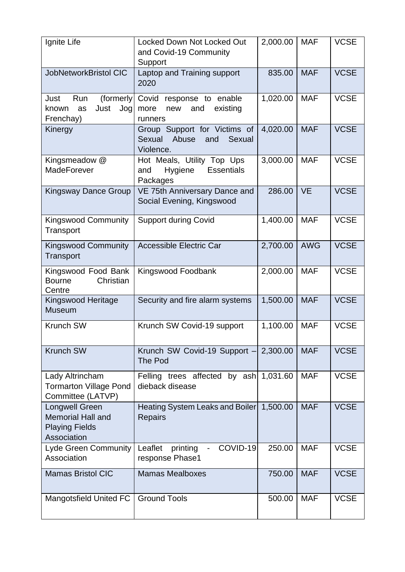| Ignite Life                                                                               | <b>Locked Down Not Locked Out</b><br>and Covid-19 Community<br>Support        | 2,000.00 | <b>MAF</b> | <b>VCSE</b> |
|-------------------------------------------------------------------------------------------|-------------------------------------------------------------------------------|----------|------------|-------------|
| JobNetworkBristol CIC                                                                     | Laptop and Training support<br>2020                                           | 835.00   | <b>MAF</b> | <b>VCSE</b> |
| (formerly<br>Just<br>Run<br>Just<br>Jog<br>known<br>as<br>Frenchay)                       | Covid response to enable<br>existing<br>more<br>and<br>new<br>runners         | 1,020.00 | <b>MAF</b> | <b>VCSE</b> |
| Kinergy                                                                                   | Group Support for Victims of<br>Sexual<br>Sexual Abuse<br>and<br>Violence.    | 4,020.00 | <b>MAF</b> | <b>VCSE</b> |
| Kingsmeadow @<br><b>MadeForever</b>                                                       | Hot Meals, Utility Top Ups<br><b>Essentials</b><br>Hygiene<br>and<br>Packages | 3,000.00 | <b>MAF</b> | <b>VCSE</b> |
| <b>Kingsway Dance Group</b>                                                               | VE 75th Anniversary Dance and<br>Social Evening, Kingswood                    | 286.00   | <b>VE</b>  | <b>VCSE</b> |
| <b>Kingswood Community</b><br>Transport                                                   | <b>Support during Covid</b>                                                   | 1,400.00 | <b>MAF</b> | <b>VCSE</b> |
| <b>Kingswood Community</b><br>Transport                                                   | <b>Accessible Electric Car</b>                                                | 2,700.00 | <b>AWG</b> | <b>VCSE</b> |
| Kingswood Food Bank<br><b>Bourne</b><br>Christian<br>Centre                               | Kingswood Foodbank                                                            | 2,000.00 | <b>MAF</b> | <b>VCSE</b> |
| Kingswood Heritage<br><b>Museum</b>                                                       | Security and fire alarm systems                                               | 1,500.00 | <b>MAF</b> | <b>VCSE</b> |
| <b>Krunch SW</b>                                                                          | Krunch SW Covid-19 support                                                    | 1,100.00 | <b>MAF</b> | <b>VCSE</b> |
| <b>Krunch SW</b>                                                                          | Krunch SW Covid-19 Support -<br><b>The Pod</b>                                | 2,300.00 | <b>MAF</b> | <b>VCSE</b> |
| Lady Altrincham<br><b>Tormarton Village Pond</b><br>Committee (LATVP)                     | Felling trees affected by ash 1,031.60<br>dieback disease                     |          | <b>MAF</b> | <b>VCSE</b> |
| <b>Longwell Green</b><br><b>Memorial Hall and</b><br><b>Playing Fields</b><br>Association | Heating System Leaks and Boiler<br><b>Repairs</b>                             | 1,500.00 | <b>MAF</b> | <b>VCSE</b> |
| <b>Lyde Green Community</b><br>Association                                                | COVID-19<br>Leaflet<br>printing<br>response Phase1                            | 250.00   | <b>MAF</b> | <b>VCSE</b> |
| <b>Mamas Bristol CIC</b>                                                                  | <b>Mamas Mealboxes</b>                                                        | 750.00   | <b>MAF</b> | <b>VCSE</b> |
| Mangotsfield United FC                                                                    | <b>Ground Tools</b>                                                           | 500.00   | <b>MAF</b> | <b>VCSE</b> |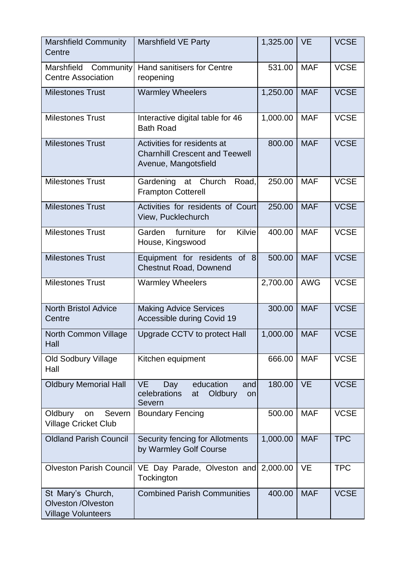| <b>Marshfield Community</b><br>Centre                                       | <b>Marshfield VE Party</b>                                                                   | 1,325.00 | <b>VE</b>  | <b>VCSE</b> |
|-----------------------------------------------------------------------------|----------------------------------------------------------------------------------------------|----------|------------|-------------|
| Marshfield Community<br><b>Centre Association</b>                           | <b>Hand sanitisers for Centre</b><br>reopening                                               | 531.00   | <b>MAF</b> | <b>VCSE</b> |
| <b>Milestones Trust</b>                                                     | <b>Warmley Wheelers</b>                                                                      | 1,250.00 | <b>MAF</b> | <b>VCSE</b> |
| <b>Milestones Trust</b>                                                     | Interactive digital table for 46<br><b>Bath Road</b>                                         | 1,000.00 | <b>MAF</b> | <b>VCSE</b> |
| <b>Milestones Trust</b>                                                     | Activities for residents at<br><b>Charnhill Crescent and Teewell</b><br>Avenue, Mangotsfield | 800.00   | <b>MAF</b> | <b>VCSE</b> |
| <b>Milestones Trust</b>                                                     | Gardening at Church<br>Road,<br><b>Frampton Cotterell</b>                                    | 250.00   | <b>MAF</b> | <b>VCSE</b> |
| <b>Milestones Trust</b>                                                     | Activities for residents of Court<br>View, Pucklechurch                                      | 250.00   | <b>MAF</b> | <b>VCSE</b> |
| <b>Milestones Trust</b>                                                     | Kilvie<br>furniture<br>Garden<br>for<br>House, Kingswood                                     | 400.00   | <b>MAF</b> | <b>VCSE</b> |
| <b>Milestones Trust</b>                                                     | Equipment for residents of 8<br><b>Chestnut Road, Downend</b>                                | 500.00   | <b>MAF</b> | <b>VCSE</b> |
| <b>Milestones Trust</b>                                                     | <b>Warmley Wheelers</b>                                                                      | 2,700.00 | <b>AWG</b> | <b>VCSE</b> |
| <b>North Bristol Advice</b><br>Centre                                       | <b>Making Advice Services</b><br>Accessible during Covid 19                                  | 300.00   | <b>MAF</b> | <b>VCSE</b> |
| <b>North Common Village</b><br>Hall                                         | Upgrade CCTV to protect Hall                                                                 | 1,000.00 | <b>MAF</b> | <b>VCSE</b> |
| <b>Old Sodbury Village</b><br>Hall                                          | Kitchen equipment                                                                            | 666.00   | <b>MAF</b> | <b>VCSE</b> |
| <b>Oldbury Memorial Hall</b>                                                | education<br>VE.<br>Day<br>and<br>celebrations<br>Oldbury<br>at<br>on<br>Severn              | 180.00   | <b>VE</b>  | <b>VCSE</b> |
| Oldbury<br>Severn<br>on<br><b>Village Cricket Club</b>                      | <b>Boundary Fencing</b>                                                                      | 500.00   | <b>MAF</b> | <b>VCSE</b> |
| <b>Oldland Parish Council</b>                                               | Security fencing for Allotments<br>by Warmley Golf Course                                    | 1,000.00 | <b>MAF</b> | <b>TPC</b>  |
| Olveston Parish Council                                                     | VE Day Parade, Olveston and<br>Tockington                                                    | 2,000.00 | <b>VE</b>  | <b>TPC</b>  |
| St Mary's Church,<br><b>Olveston /Olveston</b><br><b>Village Volunteers</b> | <b>Combined Parish Communities</b>                                                           | 400.00   | <b>MAF</b> | <b>VCSE</b> |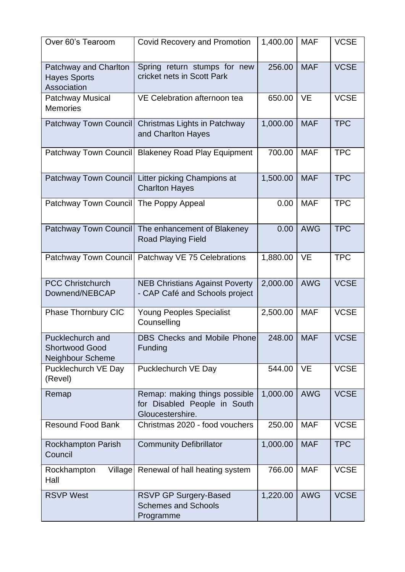| Over 60's Tearoom                                             | <b>Covid Recovery and Promotion</b>                                               | 1,400.00 | <b>MAF</b> | <b>VCSE</b> |
|---------------------------------------------------------------|-----------------------------------------------------------------------------------|----------|------------|-------------|
| Patchway and Charlton<br><b>Hayes Sports</b><br>Association   | Spring return stumps for new<br>cricket nets in Scott Park                        | 256.00   | <b>MAF</b> | <b>VCSE</b> |
| <b>Patchway Musical</b><br><b>Memories</b>                    | VE Celebration afternoon tea                                                      | 650.00   | <b>VE</b>  | <b>VCSE</b> |
|                                                               | Patchway Town Council Christmas Lights in Patchway<br>and Charlton Hayes          | 1,000.00 | <b>MAF</b> | <b>TPC</b>  |
|                                                               | Patchway Town Council Blakeney Road Play Equipment                                | 700.00   | <b>MAF</b> | <b>TPC</b>  |
|                                                               | Patchway Town Council Litter picking Champions at<br><b>Charlton Hayes</b>        | 1,500.00 | <b>MAF</b> | <b>TPC</b>  |
| Patchway Town Council The Poppy Appeal                        |                                                                                   | 0.00     | <b>MAF</b> | <b>TPC</b>  |
|                                                               | Patchway Town Council The enhancement of Blakeney<br><b>Road Playing Field</b>    | 0.00     | <b>AWG</b> | <b>TPC</b>  |
|                                                               | Patchway Town Council   Patchway VE 75 Celebrations                               | 1,880.00 | <b>VE</b>  | <b>TPC</b>  |
| <b>PCC Christchurch</b><br>Downend/NEBCAP                     | <b>NEB Christians Against Poverty</b><br>- CAP Café and Schools project           | 2,000.00 | <b>AWG</b> | <b>VCSE</b> |
| Phase Thornbury CIC                                           | <b>Young Peoples Specialist</b><br>Counselling                                    | 2,500.00 | <b>MAF</b> | <b>VCSE</b> |
| Pucklechurch and<br><b>Shortwood Good</b><br>Neighbour Scheme | DBS Checks and Mobile Phone<br>Funding                                            | 248.00   | <b>MAF</b> | <b>VCSE</b> |
| Pucklechurch VE Day<br>(Revel)                                | Pucklechurch VE Day                                                               | 544.00   | <b>VE</b>  | <b>VCSE</b> |
| Remap                                                         | Remap: making things possible<br>for Disabled People in South<br>Gloucestershire. | 1,000.00 | <b>AWG</b> | <b>VCSE</b> |
| <b>Resound Food Bank</b>                                      | Christmas 2020 - food vouchers                                                    | 250.00   | <b>MAF</b> | <b>VCSE</b> |
| <b>Rockhampton Parish</b><br>Council                          | <b>Community Defibrillator</b>                                                    | 1,000.00 | <b>MAF</b> | <b>TPC</b>  |
| Rockhampton<br>Hall                                           | Village Renewal of hall heating system                                            | 766.00   | <b>MAF</b> | <b>VCSE</b> |
| <b>RSVP West</b>                                              | <b>RSVP GP Surgery-Based</b><br><b>Schemes and Schools</b><br>Programme           | 1,220.00 | <b>AWG</b> | <b>VCSE</b> |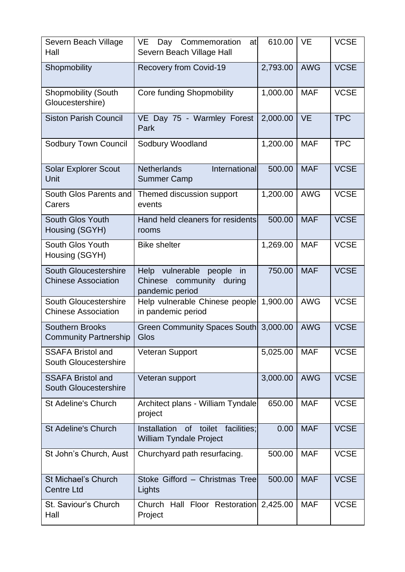| Severn Beach Village<br>Hall                             | VE.<br>Day Commemoration<br>at<br>Severn Beach Village Hall                          | 610.00   | <b>VE</b>  | <b>VCSE</b> |
|----------------------------------------------------------|--------------------------------------------------------------------------------------|----------|------------|-------------|
| Shopmobility                                             | <b>Recovery from Covid-19</b>                                                        | 2,793.00 | <b>AWG</b> | <b>VCSE</b> |
| <b>Shopmobility (South</b><br>Gloucestershire)           | <b>Core funding Shopmobility</b>                                                     | 1,000.00 | <b>MAF</b> | <b>VCSE</b> |
| <b>Siston Parish Council</b>                             | VE Day 75 - Warmley Forest<br>Park                                                   | 2,000.00 | <b>VE</b>  | <b>TPC</b>  |
| <b>Sodbury Town Council</b>                              | Sodbury Woodland                                                                     | 1,200.00 | <b>MAF</b> | <b>TPC</b>  |
| <b>Solar Explorer Scout</b><br>Unit                      | <b>Netherlands</b><br>International<br><b>Summer Camp</b>                            | 500.00   | <b>MAF</b> | <b>VCSE</b> |
| South Glos Parents and<br>Carers                         | Themed discussion support<br>events                                                  | 1,200.00 | <b>AWG</b> | <b>VCSE</b> |
| <b>South Glos Youth</b><br>Housing (SGYH)                | Hand held cleaners for residents<br>rooms                                            | 500.00   | <b>MAF</b> | <b>VCSE</b> |
| South Glos Youth<br>Housing (SGYH)                       | <b>Bike shelter</b>                                                                  | 1,269.00 | <b>MAF</b> | <b>VCSE</b> |
| South Gloucestershire<br><b>Chinese Association</b>      | Help vulnerable<br>people<br>in<br>Chinese<br>community<br>during<br>pandemic period | 750.00   | <b>MAF</b> | <b>VCSE</b> |
| South Gloucestershire<br><b>Chinese Association</b>      | Help vulnerable Chinese people<br>in pandemic period                                 | 1,900.00 | <b>AWG</b> | <b>VCSE</b> |
| <b>Southern Brooks</b><br><b>Community Partnership</b>   | Green Community Spaces South<br>Glos                                                 | 3,000.00 | <b>AWG</b> | <b>VCSE</b> |
| <b>SSAFA Bristol and</b><br>South Gloucestershire        | <b>Veteran Support</b>                                                               | 5,025.00 | <b>MAF</b> | <b>VCSE</b> |
| <b>SSAFA Bristol and</b><br><b>South Gloucestershire</b> | Veteran support                                                                      | 3,000.00 | <b>AWG</b> | <b>VCSE</b> |
| <b>St Adeline's Church</b>                               | Architect plans - William Tyndale<br>project                                         | 650.00   | <b>MAF</b> | <b>VCSE</b> |
| <b>St Adeline's Church</b>                               | Installation<br>of toilet<br>facilities;<br><b>William Tyndale Project</b>           | 0.00     | <b>MAF</b> | <b>VCSE</b> |
| St John's Church, Aust                                   | Churchyard path resurfacing.                                                         | 500.00   | <b>MAF</b> | <b>VCSE</b> |
| <b>St Michael's Church</b><br><b>Centre Ltd</b>          | Stoke Gifford - Christmas Tree<br>Lights                                             | 500.00   | <b>MAF</b> | <b>VCSE</b> |
| St. Saviour's Church<br>Hall                             | Church Hall Floor Restoration<br>Project                                             | 2,425.00 | <b>MAF</b> | <b>VCSE</b> |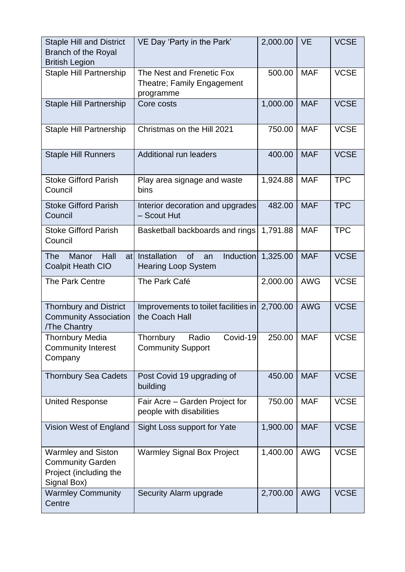| <b>Staple Hill and District</b><br><b>Branch of the Royal</b><br><b>British Legion</b>        | VE Day 'Party in the Park'                                                    | 2,000.00 | <b>VE</b>  | <b>VCSE</b> |
|-----------------------------------------------------------------------------------------------|-------------------------------------------------------------------------------|----------|------------|-------------|
| <b>Staple Hill Partnership</b>                                                                | The Nest and Frenetic Fox<br>Theatre; Family Engagement<br>programme          | 500.00   | <b>MAF</b> | <b>VCSE</b> |
| <b>Staple Hill Partnership</b>                                                                | Core costs                                                                    | 1,000.00 | <b>MAF</b> | <b>VCSE</b> |
| <b>Staple Hill Partnership</b>                                                                | Christmas on the Hill 2021                                                    | 750.00   | <b>MAF</b> | <b>VCSE</b> |
| <b>Staple Hill Runners</b>                                                                    | <b>Additional run leaders</b>                                                 | 400.00   | <b>MAF</b> | <b>VCSE</b> |
| <b>Stoke Gifford Parish</b><br>Council                                                        | Play area signage and waste<br>bins                                           | 1,924.88 | <b>MAF</b> | <b>TPC</b>  |
| <b>Stoke Gifford Parish</b><br>Council                                                        | Interior decoration and upgrades<br>- Scout Hut                               | 482.00   | <b>MAF</b> | <b>TPC</b>  |
| <b>Stoke Gifford Parish</b><br>Council                                                        | Basketball backboards and rings                                               | 1,791.88 | <b>MAF</b> | <b>TPC</b>  |
| <b>The</b><br>Manor<br>Hall<br><b>Coalpit Heath CIO</b>                                       | of<br><b>Induction</b><br>at Installation<br>an<br><b>Hearing Loop System</b> | 1,325.00 | <b>MAF</b> | <b>VCSE</b> |
| The Park Centre                                                                               | The Park Café                                                                 | 2,000.00 | <b>AWG</b> | <b>VCSE</b> |
| <b>Thornbury and District</b><br><b>Community Association</b><br>/The Chantry                 | Improvements to toilet facilities in 2,700.00<br>the Coach Hall               |          | <b>AWG</b> | <b>VCSE</b> |
| <b>Thornbury Media</b><br><b>Community Interest</b><br>Company                                | Covid-19<br>Radio<br>Thornbury<br><b>Community Support</b>                    | 250.00   | <b>MAF</b> | <b>VCSE</b> |
| <b>Thornbury Sea Cadets</b>                                                                   | Post Covid 19 upgrading of<br>building                                        | 450.00   | <b>MAF</b> | <b>VCSE</b> |
| <b>United Response</b>                                                                        | Fair Acre - Garden Project for<br>people with disabilities                    | 750.00   | <b>MAF</b> | <b>VCSE</b> |
| Vision West of England                                                                        | Sight Loss support for Yate                                                   | 1,900.00 | <b>MAF</b> | <b>VCSE</b> |
| <b>Warmley and Siston</b><br><b>Community Garden</b><br>Project (including the<br>Signal Box) | <b>Warmley Signal Box Project</b>                                             | 1,400.00 | <b>AWG</b> | <b>VCSE</b> |
| <b>Warmley Community</b><br>Centre                                                            | Security Alarm upgrade                                                        | 2,700.00 | <b>AWG</b> | <b>VCSE</b> |